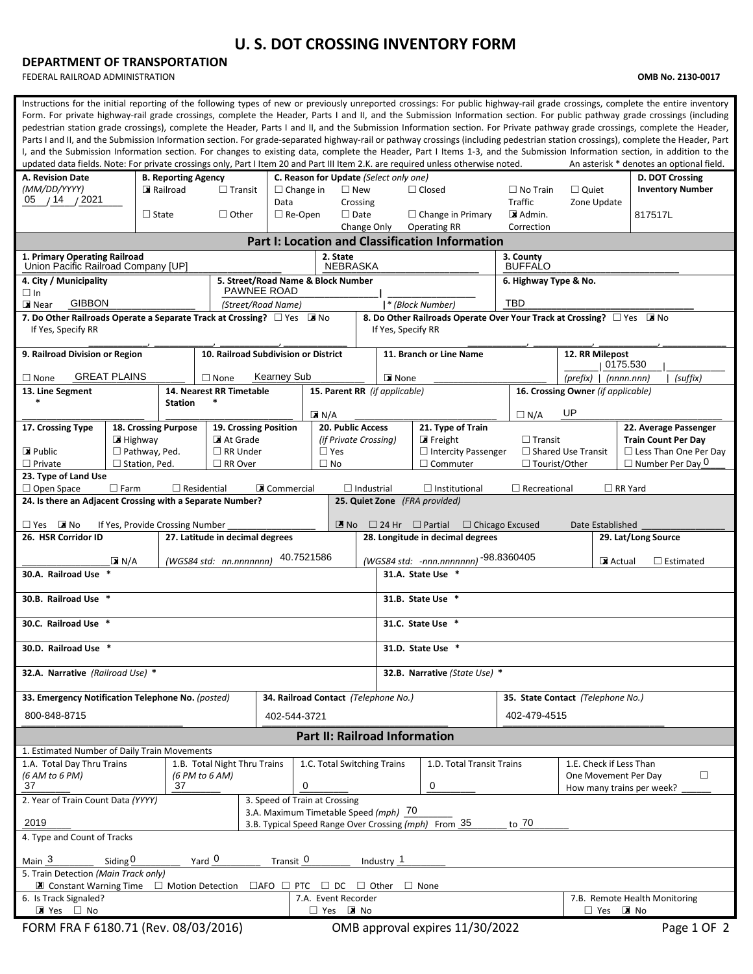## **U. S. DOT CROSSING INVENTORY FORM**

## **DEPARTMENT OF TRANSPORTATION**

FEDERAL RAILROAD ADMINISTRATION **OMB No. 2130-0017**

| Instructions for the initial reporting of the following types of new or previously unreported crossings: For public highway-rail grade crossings, complete the entire inventory<br>Form. For private highway-rail grade crossings, complete the Header, Parts I and II, and the Submission Information section. For public pathway grade crossings (including<br>pedestrian station grade crossings), complete the Header, Parts I and II, and the Submission Information section. For Private pathway grade crossings, complete the Header,<br>Parts I and II, and the Submission Information section. For grade-separated highway-rail or pathway crossings (including pedestrian station crossings), complete the Header, Part<br>I, and the Submission Information section. For changes to existing data, complete the Header, Part I Items 1-3, and the Submission Information section, in addition to the<br>An asterisk * denotes an optional field.<br>updated data fields. Note: For private crossings only, Part I Item 20 and Part III Item 2.K. are required unless otherwise noted. |                                    |                                        |                                    |                                                           |                                        |                           |                                                                                                   |                                                                                                                  |                                   |                                                                                 |                         |  |  |  |  |  |  |
|--------------------------------------------------------------------------------------------------------------------------------------------------------------------------------------------------------------------------------------------------------------------------------------------------------------------------------------------------------------------------------------------------------------------------------------------------------------------------------------------------------------------------------------------------------------------------------------------------------------------------------------------------------------------------------------------------------------------------------------------------------------------------------------------------------------------------------------------------------------------------------------------------------------------------------------------------------------------------------------------------------------------------------------------------------------------------------------------------|------------------------------------|----------------------------------------|------------------------------------|-----------------------------------------------------------|----------------------------------------|---------------------------|---------------------------------------------------------------------------------------------------|------------------------------------------------------------------------------------------------------------------|-----------------------------------|---------------------------------------------------------------------------------|-------------------------|--|--|--|--|--|--|
| A. Revision Date<br>(MM/DD/YYYY)                                                                                                                                                                                                                                                                                                                                                                                                                                                                                                                                                                                                                                                                                                                                                                                                                                                                                                                                                                                                                                                                 |                                    | <b>B. Reporting Agency</b><br>Railroad |                                    |                                                           | C. Reason for Update (Select only one) |                           |                                                                                                   |                                                                                                                  |                                   |                                                                                 | D. DOT Crossing         |  |  |  |  |  |  |
| / 14 / 2021<br>05                                                                                                                                                                                                                                                                                                                                                                                                                                                                                                                                                                                                                                                                                                                                                                                                                                                                                                                                                                                                                                                                                |                                    |                                        | $\Box$ Transit                     | $\Box$ Change in<br>Data                                  |                                        | $\square$ New<br>Crossing |                                                                                                   | $\Box$ Closed                                                                                                    | $\Box$ No Train<br><b>Traffic</b> | $\Box$ Quiet<br>Zone Update                                                     | <b>Inventory Number</b> |  |  |  |  |  |  |
|                                                                                                                                                                                                                                                                                                                                                                                                                                                                                                                                                                                                                                                                                                                                                                                                                                                                                                                                                                                                                                                                                                  |                                    | $\Box$ State                           | $\Box$ Other                       | $\Box$ Re-Open                                            |                                        | $\Box$ Date               |                                                                                                   | $\Box$ Change in Primary                                                                                         | $\blacksquare$ Admin.             |                                                                                 | 817517L                 |  |  |  |  |  |  |
| Change Only<br><b>Operating RR</b><br>Correction<br><b>Part I: Location and Classification Information</b>                                                                                                                                                                                                                                                                                                                                                                                                                                                                                                                                                                                                                                                                                                                                                                                                                                                                                                                                                                                       |                                    |                                        |                                    |                                                           |                                        |                           |                                                                                                   |                                                                                                                  |                                   |                                                                                 |                         |  |  |  |  |  |  |
| 1. Primary Operating Railroad                                                                                                                                                                                                                                                                                                                                                                                                                                                                                                                                                                                                                                                                                                                                                                                                                                                                                                                                                                                                                                                                    |                                    |                                        |                                    |                                                           |                                        |                           |                                                                                                   |                                                                                                                  |                                   |                                                                                 |                         |  |  |  |  |  |  |
| Union Pacific Railroad Company [UP]                                                                                                                                                                                                                                                                                                                                                                                                                                                                                                                                                                                                                                                                                                                                                                                                                                                                                                                                                                                                                                                              |                                    |                                        |                                    |                                                           | <b>NEBRASKA</b>                        |                           |                                                                                                   | <b>BUFFALO</b>                                                                                                   |                                   |                                                                                 |                         |  |  |  |  |  |  |
| 4. City / Municipality<br>$\Box$ In                                                                                                                                                                                                                                                                                                                                                                                                                                                                                                                                                                                                                                                                                                                                                                                                                                                                                                                                                                                                                                                              |                                    |                                        |                                    | 5. Street/Road Name & Block Number<br><b>PAWNEE ROAD</b>  |                                        |                           |                                                                                                   |                                                                                                                  |                                   | 6. Highway Type & No.                                                           |                         |  |  |  |  |  |  |
| <b>GIBBON</b><br><b>EX</b> Near                                                                                                                                                                                                                                                                                                                                                                                                                                                                                                                                                                                                                                                                                                                                                                                                                                                                                                                                                                                                                                                                  |                                    |                                        |                                    | (Street/Road Name)                                        |                                        |                           |                                                                                                   | * (Block Number)                                                                                                 | <b>TBD</b>                        |                                                                                 |                         |  |  |  |  |  |  |
| 7. Do Other Railroads Operate a Separate Track at Crossing? $\Box$ Yes $\Box$ No<br>If Yes, Specify RR                                                                                                                                                                                                                                                                                                                                                                                                                                                                                                                                                                                                                                                                                                                                                                                                                                                                                                                                                                                           |                                    |                                        |                                    |                                                           |                                        |                           | If Yes, Specify RR                                                                                |                                                                                                                  |                                   | 8. Do Other Railroads Operate Over Your Track at Crossing? $\Box$ Yes $\Box$ No |                         |  |  |  |  |  |  |
| 9. Railroad Division or Region                                                                                                                                                                                                                                                                                                                                                                                                                                                                                                                                                                                                                                                                                                                                                                                                                                                                                                                                                                                                                                                                   |                                    | 10. Railroad Subdivision or District   |                                    |                                                           |                                        |                           | 11. Branch or Line Name                                                                           |                                                                                                                  | 12. RR Milepost<br>0175.530       |                                                                                 |                         |  |  |  |  |  |  |
| $\Box$ None                                                                                                                                                                                                                                                                                                                                                                                                                                                                                                                                                                                                                                                                                                                                                                                                                                                                                                                                                                                                                                                                                      | <b>GREAT PLAINS</b><br>$\Box$ None |                                        |                                    | <b>Kearney Sub</b>                                        |                                        |                           | <b>EX</b> None                                                                                    |                                                                                                                  |                                   | $(prefix)$   $(nnnnnnn)$<br>(suffix)                                            |                         |  |  |  |  |  |  |
| 13. Line Segment<br>$\ast$                                                                                                                                                                                                                                                                                                                                                                                                                                                                                                                                                                                                                                                                                                                                                                                                                                                                                                                                                                                                                                                                       |                                    | <b>Station</b>                         | 14. Nearest RR Timetable<br>$\ast$ |                                                           | 15. Parent RR (if applicable)          |                           |                                                                                                   |                                                                                                                  |                                   | 16. Crossing Owner (if applicable)                                              |                         |  |  |  |  |  |  |
|                                                                                                                                                                                                                                                                                                                                                                                                                                                                                                                                                                                                                                                                                                                                                                                                                                                                                                                                                                                                                                                                                                  |                                    |                                        |                                    | $\boxed{\mathbf{X}}$ N/A                                  |                                        |                           |                                                                                                   |                                                                                                                  | $\Box N/A$                        |                                                                                 |                         |  |  |  |  |  |  |
| 17. Crossing Type                                                                                                                                                                                                                                                                                                                                                                                                                                                                                                                                                                                                                                                                                                                                                                                                                                                                                                                                                                                                                                                                                | 18. Crossing Purpose<br>E Highway  |                                        | At Grade                           | <b>20. Public Access</b><br>19. Crossing Position         |                                        |                           |                                                                                                   | 21. Type of Train<br>$\blacksquare$ Freight                                                                      | $\Box$ Transit                    | 22. Average Passenger<br><b>Train Count Per Day</b>                             |                         |  |  |  |  |  |  |
| <b>E</b> Public                                                                                                                                                                                                                                                                                                                                                                                                                                                                                                                                                                                                                                                                                                                                                                                                                                                                                                                                                                                                                                                                                  | $\Box$ Pathway, Ped.               |                                        |                                    | (if Private Crossing)<br>$\square$ Yes<br>$\Box$ RR Under |                                        |                           |                                                                                                   | $\Box$ Intercity Passenger                                                                                       |                                   | $\Box$ Shared Use Transit<br>$\Box$ Less Than One Per Day                       |                         |  |  |  |  |  |  |
| $\Box$ Private                                                                                                                                                                                                                                                                                                                                                                                                                                                                                                                                                                                                                                                                                                                                                                                                                                                                                                                                                                                                                                                                                   | $\Box$ Station, Ped.               |                                        | $\Box$ RR Over                     | $\square$ No                                              |                                        |                           |                                                                                                   | $\Box$ Commuter                                                                                                  |                                   | $\Box$ Tourist/Other<br>$\Box$ Number Per Day 0                                 |                         |  |  |  |  |  |  |
| 23. Type of Land Use<br>$\Box$ Open Space                                                                                                                                                                                                                                                                                                                                                                                                                                                                                                                                                                                                                                                                                                                                                                                                                                                                                                                                                                                                                                                        | $\Box$ Farm                        | $\Box$ Residential                     |                                    | <b>X</b> Commercial                                       |                                        | $\Box$ Industrial         |                                                                                                   | $\Box$ Institutional                                                                                             | $\Box$ Recreational               |                                                                                 | $\Box$ RR Yard          |  |  |  |  |  |  |
| 24. Is there an Adjacent Crossing with a Separate Number?                                                                                                                                                                                                                                                                                                                                                                                                                                                                                                                                                                                                                                                                                                                                                                                                                                                                                                                                                                                                                                        |                                    |                                        |                                    |                                                           |                                        |                           |                                                                                                   | 25. Quiet Zone (FRA provided)                                                                                    |                                   |                                                                                 |                         |  |  |  |  |  |  |
|                                                                                                                                                                                                                                                                                                                                                                                                                                                                                                                                                                                                                                                                                                                                                                                                                                                                                                                                                                                                                                                                                                  |                                    |                                        |                                    |                                                           |                                        |                           |                                                                                                   |                                                                                                                  |                                   | Date Established                                                                |                         |  |  |  |  |  |  |
| $\mathbb{Z}$ No<br>$\blacksquare$ No<br>$\square$ Yes<br>If Yes, Provide Crossing Number<br>26. HSR Corridor ID<br>27. Latitude in decimal degrees                                                                                                                                                                                                                                                                                                                                                                                                                                                                                                                                                                                                                                                                                                                                                                                                                                                                                                                                               |                                    |                                        |                                    |                                                           |                                        |                           |                                                                                                   | $\Box$ 24 Hr $\Box$ Partial<br>$\Box$ Chicago Excused<br>28. Longitude in decimal degrees<br>29. Lat/Long Source |                                   |                                                                                 |                         |  |  |  |  |  |  |
|                                                                                                                                                                                                                                                                                                                                                                                                                                                                                                                                                                                                                                                                                                                                                                                                                                                                                                                                                                                                                                                                                                  |                                    |                                        | (WGS84 std: nn.nnnnnnn)            |                                                           | 40.7521586                             |                           |                                                                                                   |                                                                                                                  |                                   |                                                                                 |                         |  |  |  |  |  |  |
| 30.A. Railroad Use                                                                                                                                                                                                                                                                                                                                                                                                                                                                                                                                                                                                                                                                                                                                                                                                                                                                                                                                                                                                                                                                               | X N/A                              |                                        |                                    |                                                           |                                        |                           | (WGS84 std: -nnn.nnnnnnn) -98.8360405<br><b>X</b> Actual<br>$\Box$ Estimated<br>31.A. State Use * |                                                                                                                  |                                   |                                                                                 |                         |  |  |  |  |  |  |
| 30.B. Railroad Use *                                                                                                                                                                                                                                                                                                                                                                                                                                                                                                                                                                                                                                                                                                                                                                                                                                                                                                                                                                                                                                                                             |                                    |                                        |                                    |                                                           |                                        |                           | 31.B. State Use *                                                                                 |                                                                                                                  |                                   |                                                                                 |                         |  |  |  |  |  |  |
|                                                                                                                                                                                                                                                                                                                                                                                                                                                                                                                                                                                                                                                                                                                                                                                                                                                                                                                                                                                                                                                                                                  | 30.C. Railroad Use *               |                                        |                                    |                                                           |                                        |                           |                                                                                                   |                                                                                                                  | 31.C. State Use *                 |                                                                                 |                         |  |  |  |  |  |  |
| 30.D. Railroad Use                                                                                                                                                                                                                                                                                                                                                                                                                                                                                                                                                                                                                                                                                                                                                                                                                                                                                                                                                                                                                                                                               |                                    |                                        |                                    |                                                           |                                        |                           |                                                                                                   | 31.D. State Use                                                                                                  |                                   |                                                                                 |                         |  |  |  |  |  |  |
| 32.A. Narrative (Railroad Use) *                                                                                                                                                                                                                                                                                                                                                                                                                                                                                                                                                                                                                                                                                                                                                                                                                                                                                                                                                                                                                                                                 |                                    |                                        |                                    |                                                           |                                        |                           | 32.B. Narrative (State Use) *                                                                     |                                                                                                                  |                                   |                                                                                 |                         |  |  |  |  |  |  |
| 33. Emergency Notification Telephone No. (posted)<br>34. Railroad Contact (Telephone No.)                                                                                                                                                                                                                                                                                                                                                                                                                                                                                                                                                                                                                                                                                                                                                                                                                                                                                                                                                                                                        |                                    |                                        |                                    |                                                           |                                        |                           |                                                                                                   |                                                                                                                  |                                   | 35. State Contact (Telephone No.)                                               |                         |  |  |  |  |  |  |
| 800-848-8715<br>402-544-3721                                                                                                                                                                                                                                                                                                                                                                                                                                                                                                                                                                                                                                                                                                                                                                                                                                                                                                                                                                                                                                                                     |                                    |                                        |                                    |                                                           |                                        |                           | 402-479-4515                                                                                      |                                                                                                                  |                                   |                                                                                 |                         |  |  |  |  |  |  |
| <b>Part II: Railroad Information</b>                                                                                                                                                                                                                                                                                                                                                                                                                                                                                                                                                                                                                                                                                                                                                                                                                                                                                                                                                                                                                                                             |                                    |                                        |                                    |                                                           |                                        |                           |                                                                                                   |                                                                                                                  |                                   |                                                                                 |                         |  |  |  |  |  |  |
| 1. Estimated Number of Daily Train Movements                                                                                                                                                                                                                                                                                                                                                                                                                                                                                                                                                                                                                                                                                                                                                                                                                                                                                                                                                                                                                                                     |                                    |                                        |                                    |                                                           |                                        |                           |                                                                                                   |                                                                                                                  |                                   |                                                                                 |                         |  |  |  |  |  |  |
| 1.A. Total Day Thru Trains                                                                                                                                                                                                                                                                                                                                                                                                                                                                                                                                                                                                                                                                                                                                                                                                                                                                                                                                                                                                                                                                       |                                    |                                        | 1.B. Total Night Thru Trains       |                                                           | 1.C. Total Switching Trains            |                           | 1.D. Total Transit Trains<br>1.E. Check if Less Than<br>$\Box$<br>One Movement Per Day            |                                                                                                                  |                                   |                                                                                 |                         |  |  |  |  |  |  |
| (6 AM to 6 PM)<br>(6 PM to 6 AM)<br>0<br>37<br>37                                                                                                                                                                                                                                                                                                                                                                                                                                                                                                                                                                                                                                                                                                                                                                                                                                                                                                                                                                                                                                                |                                    |                                        |                                    |                                                           |                                        |                           |                                                                                                   | 0<br>How many trains per week?                                                                                   |                                   |                                                                                 |                         |  |  |  |  |  |  |
| 2. Year of Train Count Data (YYYY)<br>3. Speed of Train at Crossing                                                                                                                                                                                                                                                                                                                                                                                                                                                                                                                                                                                                                                                                                                                                                                                                                                                                                                                                                                                                                              |                                    |                                        |                                    |                                                           |                                        |                           |                                                                                                   |                                                                                                                  |                                   |                                                                                 |                         |  |  |  |  |  |  |
| 3.A. Maximum Timetable Speed (mph) 70<br>2019<br>3.B. Typical Speed Range Over Crossing (mph) From 35<br>$\frac{1}{2}$ to 70                                                                                                                                                                                                                                                                                                                                                                                                                                                                                                                                                                                                                                                                                                                                                                                                                                                                                                                                                                     |                                    |                                        |                                    |                                                           |                                        |                           |                                                                                                   |                                                                                                                  |                                   |                                                                                 |                         |  |  |  |  |  |  |
| 4. Type and Count of Tracks                                                                                                                                                                                                                                                                                                                                                                                                                                                                                                                                                                                                                                                                                                                                                                                                                                                                                                                                                                                                                                                                      |                                    |                                        |                                    |                                                           |                                        |                           |                                                                                                   |                                                                                                                  |                                   |                                                                                 |                         |  |  |  |  |  |  |
| Yard 0<br>Main $3$<br>Transit 0<br>Siding $0$<br>Industry 1                                                                                                                                                                                                                                                                                                                                                                                                                                                                                                                                                                                                                                                                                                                                                                                                                                                                                                                                                                                                                                      |                                    |                                        |                                    |                                                           |                                        |                           |                                                                                                   |                                                                                                                  |                                   |                                                                                 |                         |  |  |  |  |  |  |
| 5. Train Detection (Main Track only)<br>$\blacksquare$ Constant Warning Time $\Box$ Motion Detection<br>$\Box$ AFO $\Box$ PTC<br>$\Box$ Other<br>$\Box$ None<br>$\sqcup$ DC                                                                                                                                                                                                                                                                                                                                                                                                                                                                                                                                                                                                                                                                                                                                                                                                                                                                                                                      |                                    |                                        |                                    |                                                           |                                        |                           |                                                                                                   |                                                                                                                  |                                   |                                                                                 |                         |  |  |  |  |  |  |
| 7.A. Event Recorder<br>7.B. Remote Health Monitoring<br>6. Is Track Signaled?                                                                                                                                                                                                                                                                                                                                                                                                                                                                                                                                                                                                                                                                                                                                                                                                                                                                                                                                                                                                                    |                                    |                                        |                                    |                                                           |                                        |                           |                                                                                                   |                                                                                                                  |                                   |                                                                                 |                         |  |  |  |  |  |  |
| ■ Yes □ No<br>$\Box$ Yes $\Box$ No                                                                                                                                                                                                                                                                                                                                                                                                                                                                                                                                                                                                                                                                                                                                                                                                                                                                                                                                                                                                                                                               |                                    |                                        |                                    |                                                           |                                        |                           |                                                                                                   |                                                                                                                  |                                   | □ Yes ■ No                                                                      |                         |  |  |  |  |  |  |
| FORM FRA F 6180.71 (Rev. 08/03/2016)                                                                                                                                                                                                                                                                                                                                                                                                                                                                                                                                                                                                                                                                                                                                                                                                                                                                                                                                                                                                                                                             |                                    |                                        |                                    |                                                           |                                        |                           |                                                                                                   | OMB approval expires 11/30/2022                                                                                  |                                   |                                                                                 | Page 1 OF 2             |  |  |  |  |  |  |